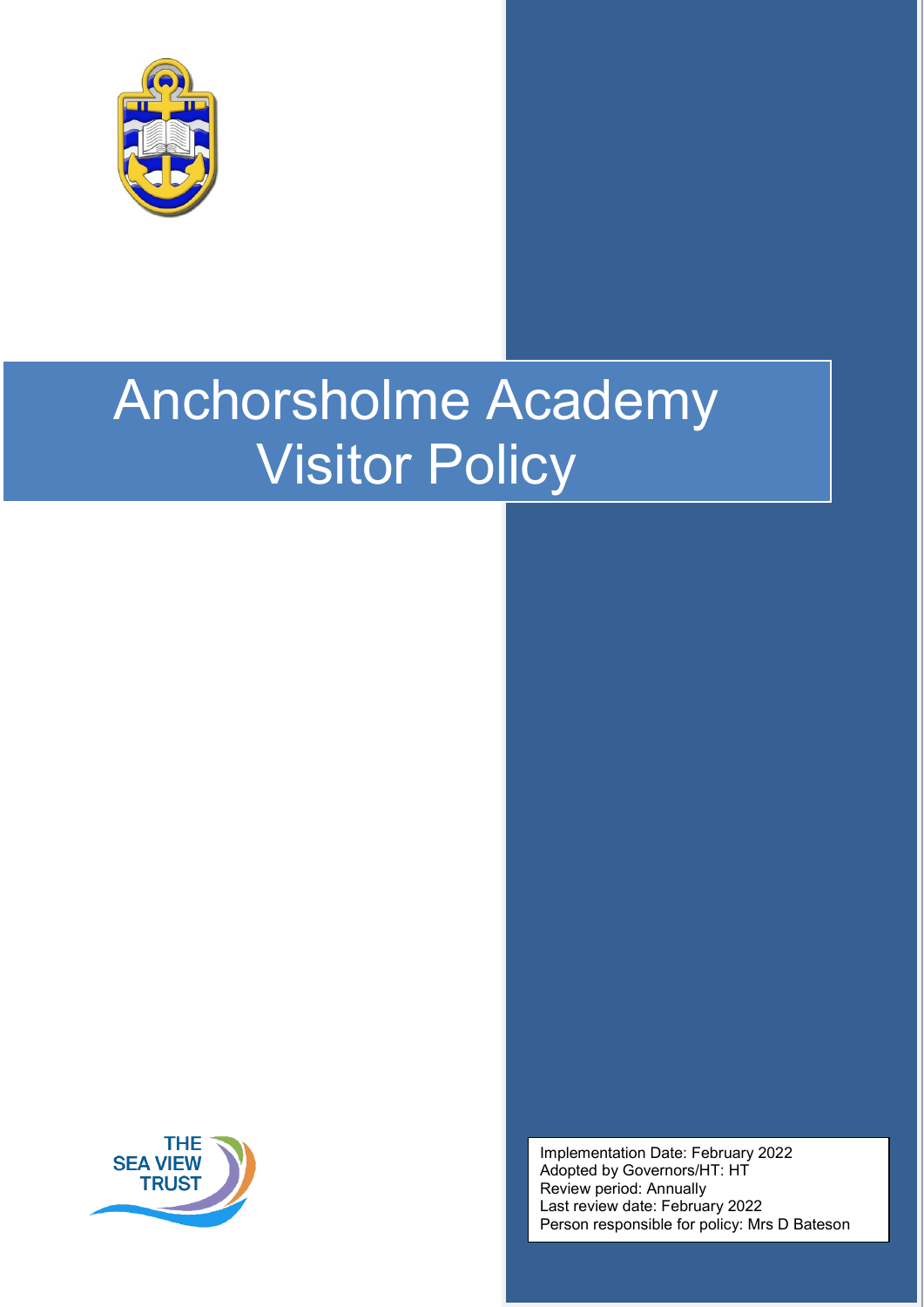

# Anchorsholme Academy Visitor Policy



Implementation Date: February 2022 Adopted by Governors/HT: HT Review period: Annually Last review date: February 2022 Person responsible for policy: Mrs D Bateson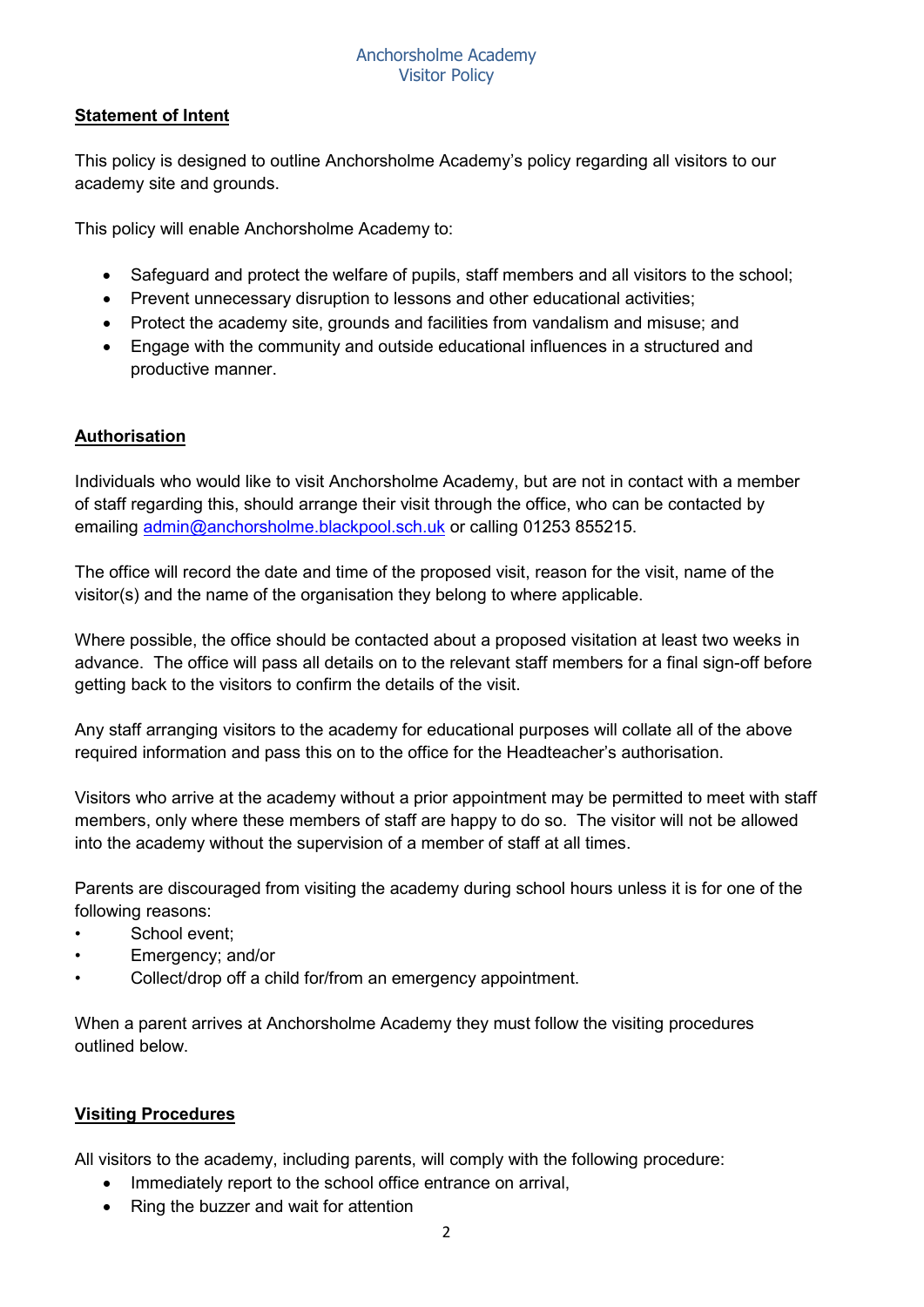#### Anchorsholme Academy Visitor Policy

# **Statement of Intent**

This policy is designed to outline Anchorsholme Academy's policy regarding all visitors to our academy site and grounds.

This policy will enable Anchorsholme Academy to:

- Safeguard and protect the welfare of pupils, staff members and all visitors to the school;
- Prevent unnecessary disruption to lessons and other educational activities;
- Protect the academy site, grounds and facilities from vandalism and misuse; and
- Engage with the community and outside educational influences in a structured and productive manner.

#### **Authorisation**

Individuals who would like to visit Anchorsholme Academy, but are not in contact with a member of staff regarding this, should arrange their visit through the office, who can be contacted by emailing [admin@anchorsholme.blackpool.sch.uk](mailto:admin@anchorsholme.blackpool.sch.uk) or calling 01253 855215.

The office will record the date and time of the proposed visit, reason for the visit, name of the visitor(s) and the name of the organisation they belong to where applicable.

Where possible, the office should be contacted about a proposed visitation at least two weeks in advance. The office will pass all details on to the relevant staff members for a final sign-off before getting back to the visitors to confirm the details of the visit.

Any staff arranging visitors to the academy for educational purposes will collate all of the above required information and pass this on to the office for the Headteacher's authorisation.

Visitors who arrive at the academy without a prior appointment may be permitted to meet with staff members, only where these members of staff are happy to do so. The visitor will not be allowed into the academy without the supervision of a member of staff at all times.

Parents are discouraged from visiting the academy during school hours unless it is for one of the following reasons:

- School event:
- Emergency; and/or
- Collect/drop off a child for/from an emergency appointment.

When a parent arrives at Anchorsholme Academy they must follow the visiting procedures outlined below.

### **Visiting Procedures**

All visitors to the academy, including parents, will comply with the following procedure:

- Immediately report to the school office entrance on arrival,
- Ring the buzzer and wait for attention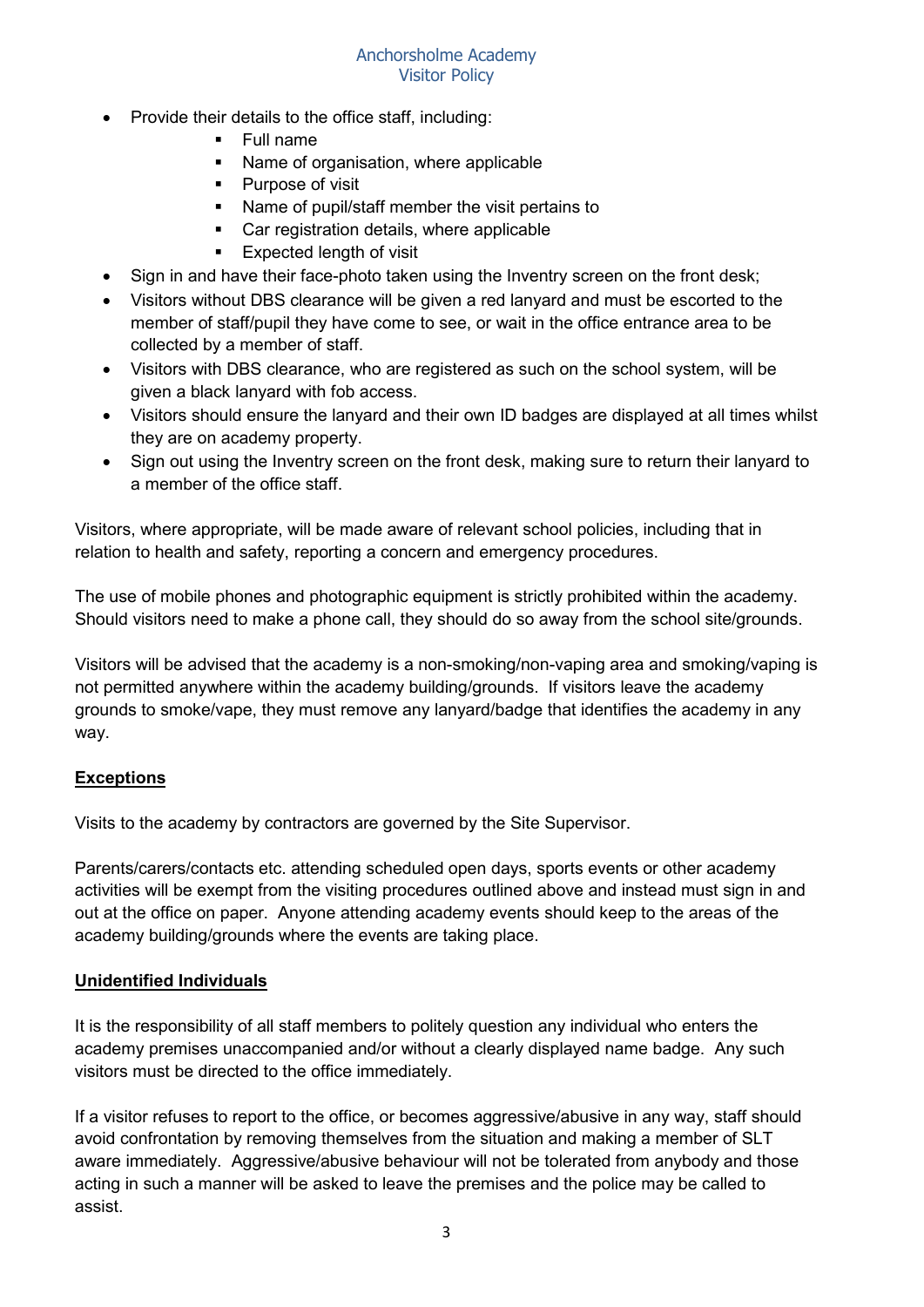- Provide their details to the office staff, including:
	- **Full name**
	- Name of organisation, where applicable
	- Purpose of visit
	- Name of pupil/staff member the visit pertains to
	- Car registration details, where applicable
	- **Expected length of visit**
- Sign in and have their face-photo taken using the Inventry screen on the front desk;
- Visitors without DBS clearance will be given a red lanyard and must be escorted to the member of staff/pupil they have come to see, or wait in the office entrance area to be collected by a member of staff.
- Visitors with DBS clearance, who are registered as such on the school system, will be given a black lanyard with fob access.
- Visitors should ensure the lanyard and their own ID badges are displayed at all times whilst they are on academy property.
- Sign out using the Inventry screen on the front desk, making sure to return their lanyard to a member of the office staff.

Visitors, where appropriate, will be made aware of relevant school policies, including that in relation to health and safety, reporting a concern and emergency procedures.

The use of mobile phones and photographic equipment is strictly prohibited within the academy. Should visitors need to make a phone call, they should do so away from the school site/grounds.

Visitors will be advised that the academy is a non-smoking/non-vaping area and smoking/vaping is not permitted anywhere within the academy building/grounds. If visitors leave the academy grounds to smoke/vape, they must remove any lanyard/badge that identifies the academy in any way.

### **Exceptions**

Visits to the academy by contractors are governed by the Site Supervisor.

Parents/carers/contacts etc. attending scheduled open days, sports events or other academy activities will be exempt from the visiting procedures outlined above and instead must sign in and out at the office on paper. Anyone attending academy events should keep to the areas of the academy building/grounds where the events are taking place.

### **Unidentified Individuals**

It is the responsibility of all staff members to politely question any individual who enters the academy premises unaccompanied and/or without a clearly displayed name badge. Any such visitors must be directed to the office immediately.

If a visitor refuses to report to the office, or becomes aggressive/abusive in any way, staff should avoid confrontation by removing themselves from the situation and making a member of SLT aware immediately. Aggressive/abusive behaviour will not be tolerated from anybody and those acting in such a manner will be asked to leave the premises and the police may be called to assist.